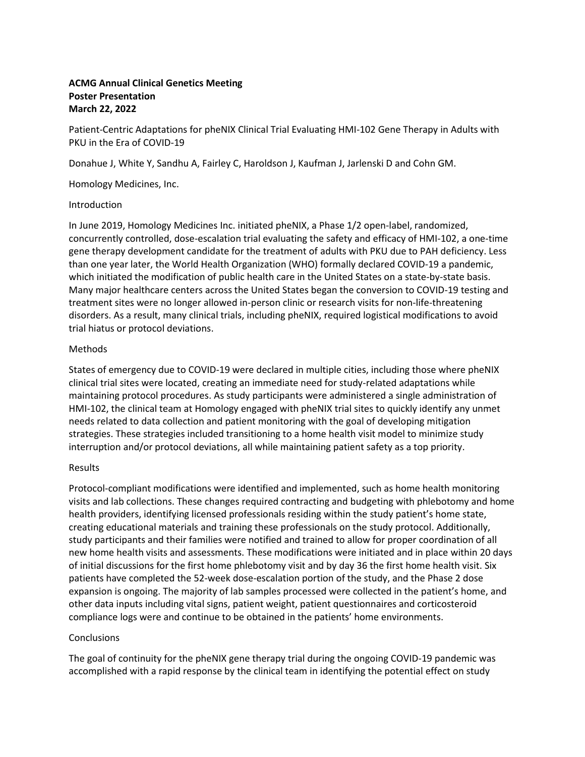# **ACMG Annual Clinical Genetics Meeting Poster Presentation March 22, 2022**

Patient-Centric Adaptations for pheNIX Clinical Trial Evaluating HMI-102 Gene Therapy in Adults with PKU in the Era of COVID-19

Donahue J, White Y, Sandhu A, Fairley C, Haroldson J, Kaufman J, Jarlenski D and Cohn GM.

Homology Medicines, Inc.

### Introduction

In June 2019, Homology Medicines Inc. initiated pheNIX, a Phase 1/2 open-label, randomized, concurrently controlled, dose-escalation trial evaluating the safety and efficacy of HMI-102, a one-time gene therapy development candidate for the treatment of adults with PKU due to PAH deficiency. Less than one year later, the World Health Organization (WHO) formally declared COVID-19 a pandemic, which initiated the modification of public health care in the United States on a state-by-state basis. Many major healthcare centers across the United States began the conversion to COVID-19 testing and treatment sites were no longer allowed in-person clinic or research visits for non-life-threatening disorders. As a result, many clinical trials, including pheNIX, required logistical modifications to avoid trial hiatus or protocol deviations.

### Methods

States of emergency due to COVID-19 were declared in multiple cities, including those where pheNIX clinical trial sites were located, creating an immediate need for study-related adaptations while maintaining protocol procedures. As study participants were administered a single administration of HMI-102, the clinical team at Homology engaged with pheNIX trial sites to quickly identify any unmet needs related to data collection and patient monitoring with the goal of developing mitigation strategies. These strategies included transitioning to a home health visit model to minimize study interruption and/or protocol deviations, all while maintaining patient safety as a top priority.

# Results

Protocol-compliant modifications were identified and implemented, such as home health monitoring visits and lab collections. These changes required contracting and budgeting with phlebotomy and home health providers, identifying licensed professionals residing within the study patient's home state, creating educational materials and training these professionals on the study protocol. Additionally, study participants and their families were notified and trained to allow for proper coordination of all new home health visits and assessments. These modifications were initiated and in place within 20 days of initial discussions for the first home phlebotomy visit and by day 36 the first home health visit. Six patients have completed the 52-week dose-escalation portion of the study, and the Phase 2 dose expansion is ongoing. The majority of lab samples processed were collected in the patient's home, and other data inputs including vital signs, patient weight, patient questionnaires and corticosteroid compliance logs were and continue to be obtained in the patients' home environments.

# **Conclusions**

The goal of continuity for the pheNIX gene therapy trial during the ongoing COVID-19 pandemic was accomplished with a rapid response by the clinical team in identifying the potential effect on study